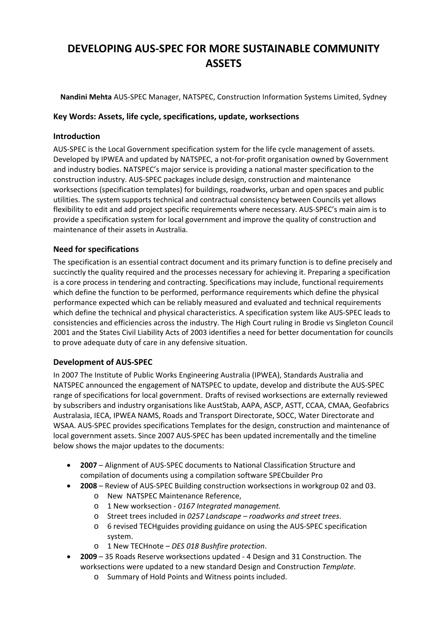# **DEVELOPING AUS‐SPEC FOR MORE SUSTAINABLE COMMUNITY ASSETS**

**Nandini Mehta** AUS‐SPEC Manager, NATSPEC, Construction Information Systems Limited, Sydney

## **Key Words: Assets, life cycle, specifications, update, worksections**

## **Introduction**

AUS‐SPEC is the Local Government specification system for the life cycle management of assets. Developed by IPWEA and updated by NATSPEC, a not-for-profit organisation owned by Government and industry bodies. NATSPEC's major service is providing a national master specification to the construction industry. AUS‐SPEC packages include design, construction and maintenance worksections (specification templates) for buildings, roadworks, urban and open spaces and public utilities. The system supports technical and contractual consistency between Councils yet allows flexibility to edit and add project specific requirements where necessary. AUS‐SPEC's main aim is to provide a specification system for local government and improve the quality of construction and maintenance of their assets in Australia.

## **Need for specifications**

The specification is an essential contract document and its primary function is to define precisely and succinctly the quality required and the processes necessary for achieving it. Preparing a specification is a core process in tendering and contracting. Specifications may include, functional requirements which define the function to be performed, performance requirements which define the physical performance expected which can be reliably measured and evaluated and technical requirements which define the technical and physical characteristics. A specification system like AUS‐SPEC leads to consistencies and efficiencies across the industry. The High Court ruling in Brodie vs Singleton Council 2001 and the States Civil Liability Acts of 2003 identifies a need for better documentation for councils to prove adequate duty of care in any defensive situation.

## **Development of AUS‐SPEC**

In 2007 The Institute of Public Works Engineering Australia (IPWEA), Standards Australia and NATSPEC announced the engagement of NATSPEC to update, develop and distribute the AUS‐SPEC range of specifications for local government. Drafts of revised worksections are externally reviewed by subscribers and industry organisations like AustStab, AAPA, ASCP, ASTT, CCAA, CMAA, Geofabrics Australasia, IECA, IPWEA NAMS, Roads and Transport Directorate, SOCC, Water Directorate and WSAA. AUS‐SPEC provides specifications Templates for the design, construction and maintenance of local government assets. Since 2007 AUS‐SPEC has been updated incrementally and the timeline below shows the major updates to the documents:

- **2007** Alignment of AUS‐SPEC documents to National Classification Structure and compilation of documents using a compilation software SPECbuilder Pro
- **2008** Review of AUS‐SPEC Building construction worksections in workgroup 02 and 03.
	- o New NATSPEC Maintenance Reference,
	- o 1 New worksection ‐ *0167 Integrated management.*
	- o Street trees included in *0257 Landscape roadworks and street trees*.
	- o 6 revised TECHguides providing guidance on using the AUS‐SPEC specification system.
	- o 1 New TECHnote *DES 018 Bushfire protection*.
- **2009** 35 Roads Reserve worksections updated ‐ 4 Design and 31 Construction. The worksections were updated to a new standard Design and Construction *Template*.
	- o Summary of Hold Points and Witness points included.